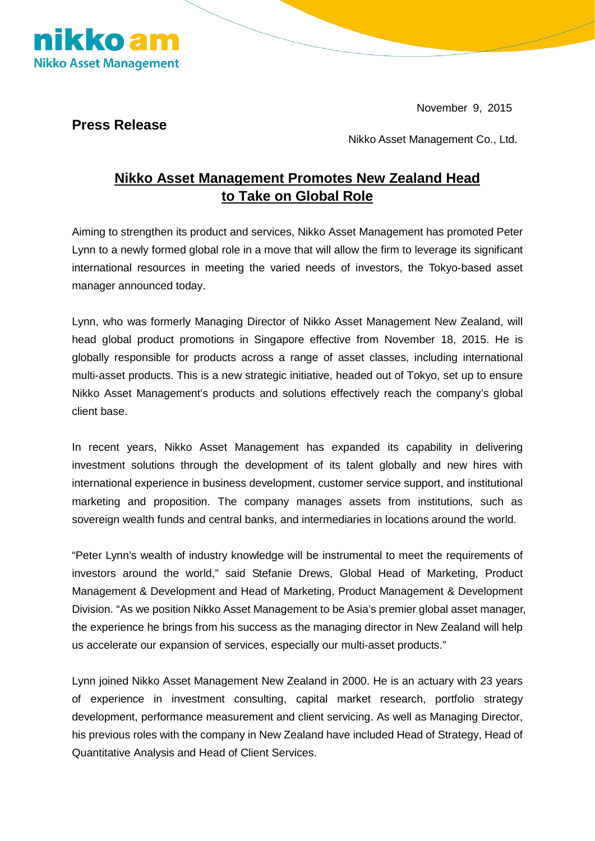November 9, 2015



**Press Release**

Nikko Asset Management Co., Ltd.

## **Nikko Asset Management Promotes New Zealand Head to Take on Global Role**

Aiming to strengthen its product and services, Nikko Asset Management has promoted Peter Lynn to a newly formed global role in a move that will allow the firm to leverage its significant international resources in meeting the varied needs of investors, the Tokyo-based asset manager announced today.

Lynn, who was formerly Managing Director of Nikko Asset Management New Zealand, will head global product promotions in Singapore effective from November 18, 2015. He is globally responsible for products across a range of asset classes, including international multi-asset products. This is a new strategic initiative, headed out of Tokyo, set up to ensure Nikko Asset Management's products and solutions effectively reach the company's global client base.

In recent years, Nikko Asset Management has expanded its capability in delivering investment solutions through the development of its talent globally and new hires with international experience in business development, customer service support, and institutional marketing and proposition. The company manages assets from institutions, such as sovereign wealth funds and central banks, and intermediaries in locations around the world.

"Peter Lynn's wealth of industry knowledge will be instrumental to meet the requirements of investors around the world," said Stefanie Drews, Global Head of Marketing, Product Management & Development and Head of Marketing, Product Management & Development Division. "As we position Nikko Asset Management to be Asia's premier global asset manager, the experience he brings from his success as the managing director in New Zealand will help us accelerate our expansion of services, especially our multi-asset products."

Lynn joined Nikko Asset Management New Zealand in 2000. He is an actuary with 23 years of experience in investment consulting, capital market research, portfolio strategy development, performance measurement and client servicing. As well as Managing Director, his previous roles with the company in New Zealand have included Head of Strategy, Head of Quantitative Analysis and Head of Client Services.